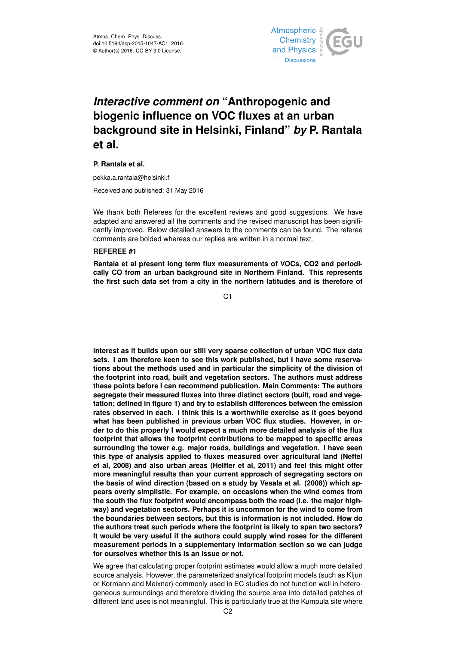

# *Interactive comment on* **"Anthropogenic and biogenic influence on VOC fluxes at an urban background site in Helsinki, Finland"** *by* **P. Rantala et al.**

## **P. Rantala et al.**

pekka.a.rantala@helsinki.fi

Received and published: 31 May 2016

We thank both Referees for the excellent reviews and good suggestions. We have adapted and answered all the comments and the revised manuscript has been significantly improved. Below detailed answers to the comments can be found. The referee comments are bolded whereas our replies are written in a normal text.

#### **REFEREE #1**

**Rantala et al present long term flux measurements of VOCs, CO2 and periodically CO from an urban background site in Northern Finland. This represents the first such data set from a city in the northern latitudes and is therefore of**

C1

**interest as it builds upon our still very sparse collection of urban VOC flux data sets. I am therefore keen to see this work published, but I have some reservations about the methods used and in particular the simplicity of the division of the footprint into road, built and vegetation sectors. The authors must address these points before I can recommend publication. Main Comments: The authors segregate their measured fluxes into three distinct sectors (built, road and vegetation; defined in figure 1) and try to establish differences between the emission rates observed in each. I think this is a worthwhile exercise as it goes beyond what has been published in previous urban VOC flux studies. However, in order to do this properly I would expect a much more detailed analysis of the flux footprint that allows the footprint contributions to be mapped to specific areas surrounding the tower e.g. major roads, buildings and vegetation. I have seen this type of analysis applied to fluxes measured over agricultural land (Neftel et al, 2008) and also urban areas (Helfter et al, 2011) and feel this might offer more meaningful results than your current approach of segregating sectors on the basis of wind direction (based on a study by Vesala et al. (2008)) which appears overly simplistic. For example, on occasions when the wind comes from the south the flux footprint would encompass both the road (i.e. the major highway) and vegetation sectors. Perhaps it is uncommon for the wind to come from the boundaries between sectors, but this is information is not included. How do the authors treat such periods where the footprint is likely to span two sectors? It would be very useful if the authors could supply wind roses for the different measurement periods in a supplementary information section so we can judge for ourselves whether this is an issue or not.**

We agree that calculating proper footprint estimates would allow a much more detailed source analysis. However, the parameterized analytical footprint models (such as Kljun or Kormann and Meixner) commonly used in EC studies do not function well in heterogeneous surroundings and therefore dividing the source area into detailed patches of different land uses is not meaningful. This is particularly true at the Kumpula site where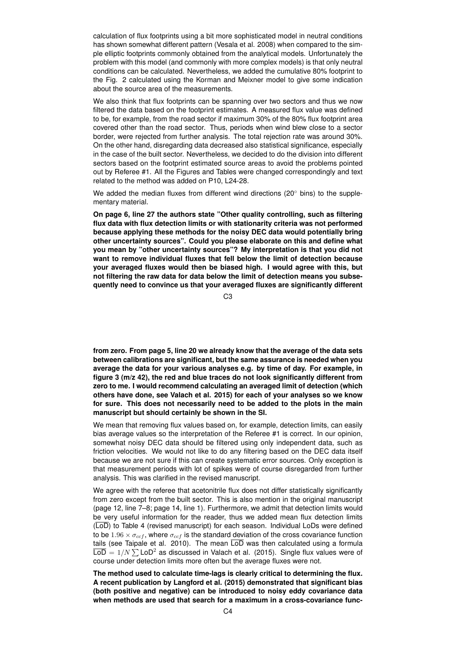calculation of flux footprints using a bit more sophisticated model in neutral conditions has shown somewhat different pattern (Vesala et al. 2008) when compared to the simple elliptic footprints commonly obtained from the analytical models. Unfortunately the problem with this model (and commonly with more complex models) is that only neutral conditions can be calculated. Nevertheless, we added the cumulative 80% footprint to the Fig. 2 calculated using the Korman and Meixner model to give some indication about the source area of the measurements.

We also think that flux footprints can be spanning over two sectors and thus we now filtered the data based on the footprint estimates. A measured flux value was defined to be, for example, from the road sector if maximum 30% of the 80% flux footprint area covered other than the road sector. Thus, periods when wind blew close to a sector border, were rejected from further analysis. The total rejection rate was around 30%. On the other hand, disregarding data decreased also statistical significance, especially in the case of the built sector. Nevertheless, we decided to do the division into different sectors based on the footprint estimated source areas to avoid the problems pointed out by Referee #1. All the Figures and Tables were changed correspondingly and text related to the method was added on P10, L24-28.

We added the median fluxes from different wind directions (20° bins) to the supplementary material.

**On page 6, line 27 the authors state "Other quality controlling, such as filtering flux data with flux detection limits or with stationarity criteria was not performed because applying these methods for the noisy DEC data would potentially bring other uncertainty sources". Could you please elaborate on this and define what you mean by "other uncertainty sources"? My interpretation is that you did not want to remove individual fluxes that fell below the limit of detection because your averaged fluxes would then be biased high. I would agree with this, but not filtering the raw data for data below the limit of detection means you subsequently need to convince us that your averaged fluxes are significantly different**

 $C3$ 

**from zero. From page 5, line 20 we already know that the average of the data sets between calibrations are significant, but the same assurance is needed when you average the data for your various analyses e.g. by time of day. For example, in figure 3 (m/z 42), the red and blue traces do not look significantly different from zero to me. I would recommend calculating an averaged limit of detection (which others have done, see Valach et al. 2015) for each of your analyses so we know for sure. This does not necessarily need to be added to the plots in the main manuscript but should certainly be shown in the SI.**

We mean that removing flux values based on, for example, detection limits, can easily bias average values so the interpretation of the Referee #1 is correct. In our opinion, somewhat noisy DEC data should be filtered using only independent data, such as friction velocities. We would not like to do any filtering based on the DEC data itself because we are not sure if this can create systematic error sources. Only exception is that measurement periods with lot of spikes were of course disregarded from further analysis. This was clarified in the revised manuscript.

We agree with the referee that acetonitrile flux does not differ statistically significantly from zero except from the built sector. This is also mention in the original manuscript (page 12, line 7–8; page 14, line 1). Furthermore, we admit that detection limits would be very useful information for the reader, thus we added mean flux detection limits (LoD) to Table 4 (revised manuscript) for each season. Individual LoDs were defined to be 1.96  $\times \sigma_{ccf}$ , where  $\sigma_{ccf}$  is the standard deviation of the cross covariance function tails (see Taipale et al. 2010). The mean  $\overline{\text{LOD}}$  was then calculated using a formula  $\overline{\text{LOD}} = 1/N \sum \text{LOD}^2$  as discussed in Valach et al. (2015). Single flux values were of course under detection limits more often but the average fluxes were not.

**The method used to calculate time-lags is clearly critical to determining the flux. A recent publication by Langford et al. (2015) demonstrated that significant bias (both positive and negative) can be introduced to noisy eddy covariance data when methods are used that search for a maximum in a cross-covariance func-**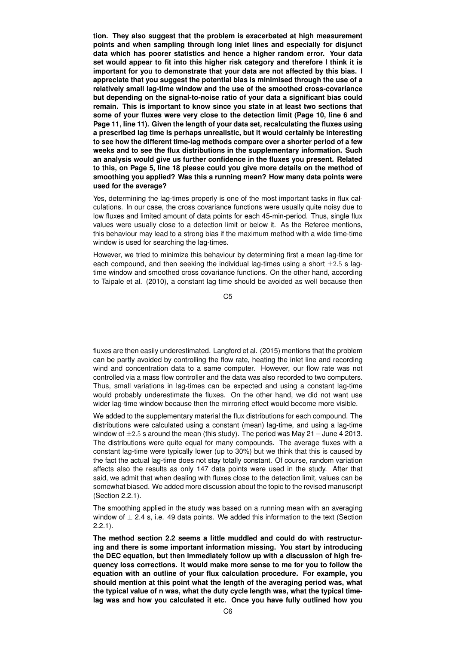**tion. They also suggest that the problem is exacerbated at high measurement points and when sampling through long inlet lines and especially for disjunct data which has poorer statistics and hence a higher random error. Your data set would appear to fit into this higher risk category and therefore I think it is important for you to demonstrate that your data are not affected by this bias. I appreciate that you suggest the potential bias is minimised through the use of a relatively small lag-time window and the use of the smoothed cross-covariance but depending on the signal-to-noise ratio of your data a significant bias could remain. This is important to know since you state in at least two sections that some of your fluxes were very close to the detection limit (Page 10, line 6 and Page 11, line 11). Given the length of your data set, recalculating the fluxes using a prescribed lag time is perhaps unrealistic, but it would certainly be interesting to see how the different time-lag methods compare over a shorter period of a few weeks and to see the flux distributions in the supplementary information. Such an analysis would give us further confidence in the fluxes you present. Related to this, on Page 5, line 18 please could you give more details on the method of smoothing you applied? Was this a running mean? How many data points were used for the average?**

Yes, determining the lag-times properly is one of the most important tasks in flux calculations. In our case, the cross covariance functions were usually quite noisy due to low fluxes and limited amount of data points for each 45-min-period. Thus, single flux values were usually close to a detection limit or below it. As the Referee mentions, this behaviour may lead to a strong bias if the maximum method with a wide time-time window is used for searching the lag-times.

However, we tried to minimize this behaviour by determining first a mean lag-time for each compound, and then seeking the individual lag-times using a short  $\pm 2.5$  s lagtime window and smoothed cross covariance functions. On the other hand, according to Taipale et al. (2010), a constant lag time should be avoided as well because then

 $C<sub>5</sub>$ 

fluxes are then easily underestimated. Langford et al. (2015) mentions that the problem can be partly avoided by controlling the flow rate, heating the inlet line and recording wind and concentration data to a same computer. However, our flow rate was not controlled via a mass flow controller and the data was also recorded to two computers. Thus, small variations in lag-times can be expected and using a constant lag-time would probably underestimate the fluxes. On the other hand, we did not want use wider lag-time window because then the mirroring effect would become more visible.

We added to the supplementary material the flux distributions for each compound. The distributions were calculated using a constant (mean) lag-time, and using a lag-time window of  $\pm 2.5$  s around the mean (this study). The period was May 21 – June 4 2013. The distributions were quite equal for many compounds. The average fluxes with a constant lag-time were typically lower (up to 30%) but we think that this is caused by the fact the actual lag-time does not stay totally constant. Of course, random variation affects also the results as only 147 data points were used in the study. After that said, we admit that when dealing with fluxes close to the detection limit, values can be somewhat biased. We added more discussion about the topic to the revised manuscript (Section 2.2.1).

The smoothing applied in the study was based on a running mean with an averaging window of  $\pm$  2.4 s, i.e. 49 data points. We added this information to the text (Section 2.2.1).

**The method section 2.2 seems a little muddled and could do with restructuring and there is some important information missing. You start by introducing the DEC equation, but then immediately follow up with a discussion of high frequency loss corrections. It would make more sense to me for you to follow the equation with an outline of your flux calculation procedure. For example, you should mention at this point what the length of the averaging period was, what the typical value of n was, what the duty cycle length was, what the typical timelag was and how you calculated it etc. Once you have fully outlined how you**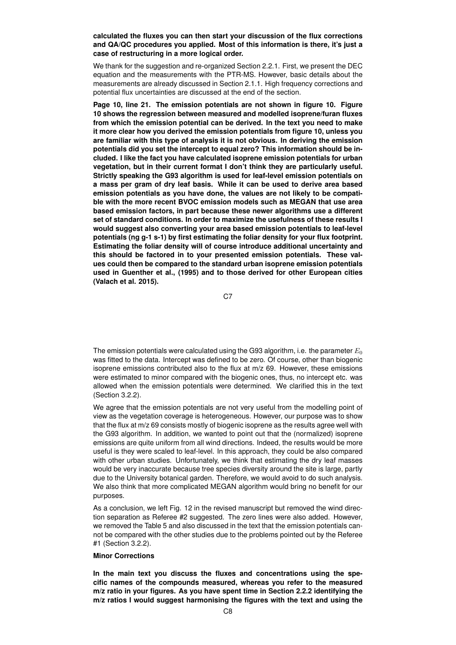**calculated the fluxes you can then start your discussion of the flux corrections and QA/QC procedures you applied. Most of this information is there, it's just a case of restructuring in a more logical order.**

We thank for the suggestion and re-organized Section 2.2.1. First, we present the DEC equation and the measurements with the PTR-MS. However, basic details about the measurements are already discussed in Section 2.1.1. High frequency corrections and potential flux uncertainties are discussed at the end of the section.

**Page 10, line 21. The emission potentials are not shown in figure 10. Figure 10 shows the regression between measured and modelled isoprene/furan fluxes from which the emission potential can be derived. In the text you need to make it more clear how you derived the emission potentials from figure 10, unless you are familiar with this type of analysis it is not obvious. In deriving the emission potentials did you set the intercept to equal zero? This information should be included. I like the fact you have calculated isoprene emission potentials for urban vegetation, but in their current format I don't think they are particularly useful. Strictly speaking the G93 algorithm is used for leaf-level emission potentials on a mass per gram of dry leaf basis. While it can be used to derive area based emission potentials as you have done, the values are not likely to be compatible with the more recent BVOC emission models such as MEGAN that use area based emission factors, in part because these newer algorithms use a different set of standard conditions. In order to maximize the usefulness of these results I would suggest also converting your area based emission potentials to leaf-level potentials (ng g-1 s-1) by first estimating the foliar density for your flux footprint. Estimating the foliar density will of course introduce additional uncertainty and this should be factored in to your presented emission potentials. These values could then be compared to the standard urban isoprene emission potentials used in Guenther et al., (1995) and to those derived for other European cities (Valach et al. 2015).**

C<sub>7</sub>

The emission potentials were calculated using the G93 algorithm, i.e. the parameter  $E_0$ was fitted to the data. Intercept was defined to be zero. Of course, other than biogenic isoprene emissions contributed also to the flux at m/z 69. However, these emissions were estimated to minor compared with the biogenic ones, thus, no intercept etc. was allowed when the emission potentials were determined. We clarified this in the text (Section 3.2.2).

We agree that the emission potentials are not very useful from the modelling point of view as the vegetation coverage is heterogeneous. However, our purpose was to show that the flux at m/z 69 consists mostly of biogenic isoprene as the results agree well with the G93 algorithm. In addition, we wanted to point out that the (normalized) isoprene emissions are quite uniform from all wind directions. Indeed, the results would be more useful is they were scaled to leaf-level. In this approach, they could be also compared with other urban studies. Unfortunately, we think that estimating the dry leaf masses would be very inaccurate because tree species diversity around the site is large, partly due to the University botanical garden. Therefore, we would avoid to do such analysis. We also think that more complicated MEGAN algorithm would bring no benefit for our purposes.

As a conclusion, we left Fig. 12 in the revised manuscript but removed the wind direction separation as Referee #2 suggested. The zero lines were also added. However, we removed the Table 5 and also discussed in the text that the emission potentials cannot be compared with the other studies due to the problems pointed out by the Referee #1 (Section 3.2.2).

## **Minor Corrections**

**In the main text you discuss the fluxes and concentrations using the specific names of the compounds measured, whereas you refer to the measured m/z ratio in your figures. As you have spent time in Section 2.2.2 identifying the m/z ratios I would suggest harmonising the figures with the text and using the**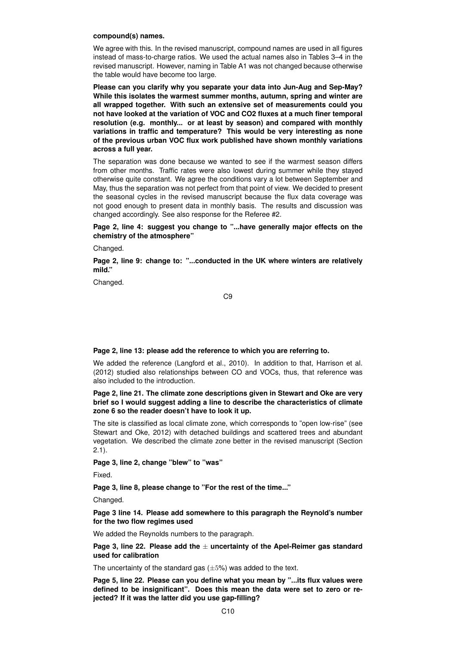#### **compound(s) names.**

We agree with this. In the revised manuscript, compound names are used in all figures instead of mass-to-charge ratios. We used the actual names also in Tables 3–4 in the revised manuscript. However, naming in Table A1 was not changed because otherwise the table would have become too large.

**Please can you clarify why you separate your data into Jun-Aug and Sep-May? While this isolates the warmest summer months, autumn, spring and winter are all wrapped together. With such an extensive set of measurements could you not have looked at the variation of VOC and CO2 fluxes at a much finer temporal resolution (e.g. monthly... or at least by season) and compared with monthly variations in traffic and temperature? This would be very interesting as none of the previous urban VOC flux work published have shown monthly variations across a full year.**

The separation was done because we wanted to see if the warmest season differs from other months. Traffic rates were also lowest during summer while they stayed otherwise quite constant. We agree the conditions vary a lot between September and May, thus the separation was not perfect from that point of view. We decided to present the seasonal cycles in the revised manuscript because the flux data coverage was not good enough to present data in monthly basis. The results and discussion was changed accordingly. See also response for the Referee #2.

**Page 2, line 4: suggest you change to "...have generally major effects on the chemistry of the atmosphere"**

Changed.

**Page 2, line 9: change to: "...conducted in the UK where winters are relatively mild."**

Changed.

C9

**Page 2, line 13: please add the reference to which you are referring to.**

We added the reference (Langford et al., 2010). In addition to that, Harrison et al. (2012) studied also relationships between CO and VOCs, thus, that reference was also included to the introduction.

**Page 2, line 21. The climate zone descriptions given in Stewart and Oke are very brief so I would suggest adding a line to describe the characteristics of climate zone 6 so the reader doesn't have to look it up.**

The site is classified as local climate zone, which corresponds to "open low-rise" (see Stewart and Oke, 2012) with detached buildings and scattered trees and abundant vegetation. We described the climate zone better in the revised manuscript (Section 2.1).

**Page 3, line 2, change "blew" to "was"**

Fixed.

**Page 3, line 8, please change to "For the rest of the time..."**

Changed.

**Page 3 line 14. Please add somewhere to this paragraph the Reynold's number for the two flow regimes used**

We added the Reynolds numbers to the paragraph.

**Page 3, line 22. Please add the** ± **uncertainty of the Apel-Reimer gas standard used for calibration**

The uncertainty of the standard gas  $(\pm 5\%)$  was added to the text.

**Page 5, line 22. Please can you define what you mean by "...its flux values were defined to be insignificant". Does this mean the data were set to zero or rejected? If it was the latter did you use gap-filling?**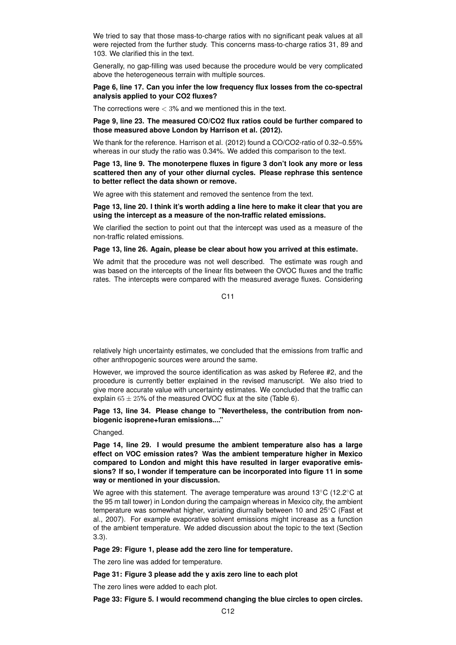We tried to say that those mass-to-charge ratios with no significant peak values at all were rejected from the further study. This concerns mass-to-charge ratios 31, 89 and 103. We clarified this in the text.

Generally, no gap-filling was used because the procedure would be very complicated above the heterogeneous terrain with multiple sources.

## **Page 6, line 17. Can you infer the low frequency flux losses from the co-spectral analysis applied to your CO2 fluxes?**

The corrections were  $<$  3% and we mentioned this in the text.

# **Page 9, line 23. The measured CO/CO2 flux ratios could be further compared to those measured above London by Harrison et al. (2012).**

We thank for the reference. Harrison et al. (2012) found a CO/CO2-ratio of 0.32–0.55% whereas in our study the ratio was 0.34%. We added this comparison to the text.

**Page 13, line 9. The monoterpene fluxes in figure 3 don't look any more or less scattered then any of your other diurnal cycles. Please rephrase this sentence to better reflect the data shown or remove.**

We agree with this statement and removed the sentence from the text.

**Page 13, line 20. I think it's worth adding a line here to make it clear that you are using the intercept as a measure of the non-traffic related emissions.**

We clarified the section to point out that the intercept was used as a measure of the non-traffic related emissions.

#### **Page 13, line 26. Again, please be clear about how you arrived at this estimate.**

We admit that the procedure was not well described. The estimate was rough and was based on the intercepts of the linear fits between the OVOC fluxes and the traffic rates. The intercepts were compared with the measured average fluxes. Considering

 $C<sub>11</sub>$ 

relatively high uncertainty estimates, we concluded that the emissions from traffic and other anthropogenic sources were around the same.

However, we improved the source identification as was asked by Referee #2, and the procedure is currently better explained in the revised manuscript. We also tried to give more accurate value with uncertainty estimates. We concluded that the traffic can explain  $65 \pm 25$ % of the measured OVOC flux at the site (Table 6).

## **Page 13, line 34. Please change to "Nevertheless, the contribution from nonbiogenic isoprene+furan emissions...."**

Changed.

**Page 14, line 29. I would presume the ambient temperature also has a large effect on VOC emission rates? Was the ambient temperature higher in Mexico compared to London and might this have resulted in larger evaporative emissions? If so, I wonder if temperature can be incorporated into figure 11 in some way or mentioned in your discussion.**

We agree with this statement. The average temperature was around 13<sup>°</sup>C (12.2<sup>°</sup>C at the 95 m tall tower) in London during the campaign whereas in Mexico city, the ambient temperature was somewhat higher, variating diurnally between 10 and 25℃ (Fast et al., 2007). For example evaporative solvent emissions might increase as a function of the ambient temperature. We added discussion about the topic to the text (Section 3.3).

**Page 29: Figure 1, please add the zero line for temperature.**

The zero line was added for temperature.

**Page 31: Figure 3 please add the y axis zero line to each plot**

The zero lines were added to each plot.

**Page 33: Figure 5. I would recommend changing the blue circles to open circles.**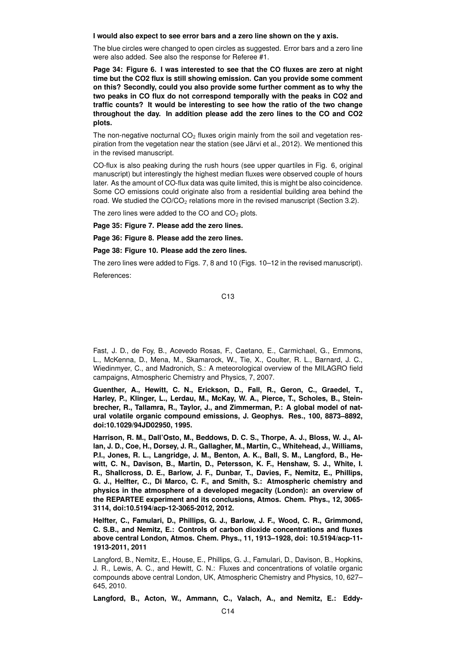**I would also expect to see error bars and a zero line shown on the y axis.**

The blue circles were changed to open circles as suggested. Error bars and a zero line were also added. See also the response for Referee #1.

**Page 34: Figure 6. I was interested to see that the CO fluxes are zero at night time but the CO2 flux is still showing emission. Can you provide some comment on this? Secondly, could you also provide some further comment as to why the two peaks in CO flux do not correspond temporally with the peaks in CO2 and traffic counts? It would be interesting to see how the ratio of the two change throughout the day. In addition please add the zero lines to the CO and CO2 plots.**

The non-negative nocturnal  $CO<sub>2</sub>$  fluxes origin mainly from the soil and vegetation respiration from the vegetation near the station (see Järvi et al., 2012). We mentioned this in the revised manuscript.

CO-flux is also peaking during the rush hours (see upper quartiles in Fig. 6, original manuscript) but interestingly the highest median fluxes were observed couple of hours later. As the amount of CO-flux data was quite limited, this is might be also coincidence. Some CO emissions could originate also from a residential building area behind the road. We studied the  $CO/CO<sub>2</sub>$  relations more in the revised manuscript (Section 3.2).

The zero lines were added to the CO and  $CO<sub>2</sub>$  plots.

**Page 35: Figure 7. Please add the zero lines.**

**Page 36: Figure 8. Please add the zero lines.**

**Page 38: Figure 10. Please add the zero lines.**

The zero lines were added to Figs. 7, 8 and 10 (Figs. 10–12 in the revised manuscript). References:

C13

Fast, J. D., de Foy, B., Acevedo Rosas, F., Caetano, E., Carmichael, G., Emmons, L., McKenna, D., Mena, M., Skamarock, W., Tie, X., Coulter, R. L., Barnard, J. C., Wiedinmyer, C., and Madronich, S.: A meteorological overview of the MILAGRO field campaigns, Atmospheric Chemistry and Physics, 7, 2007.

**Guenther, A., Hewitt, C. N., Erickson, D., Fall, R., Geron, C., Graedel, T., Harley, P., Klinger, L., Lerdau, M., McKay, W. A., Pierce, T., Scholes, B., Steinbrecher, R., Tallamra, R., Taylor, J., and Zimmerman, P.: A global model of natural volatile organic compound emissions, J. Geophys. Res., 100, 8873–8892, doi:10.1029/94JD02950, 1995.**

**Harrison, R. M., Dall'Osto, M., Beddows, D. C. S., Thorpe, A. J., Bloss, W. J., Allan, J. D., Coe, H., Dorsey, J. R., Gallagher, M., Martin, C., Whitehead, J., Williams, P.I., Jones, R. L., Langridge, J. M., Benton, A. K., Ball, S. M., Langford, B., Hewitt, C. N., Davison, B., Martin, D., Petersson, K. F., Henshaw, S. J., White, I. R., Shallcross, D. E., Barlow, J. F., Dunbar, T., Davies, F., Nemitz, E., Phillips, G. J., Helfter, C., Di Marco, C. F., and Smith, S.: Atmospheric chemistry and physics in the atmosphere of a developed megacity (London): an overview of the REPARTEE experiment and its conclusions, Atmos. Chem. Phys., 12, 3065- 3114, doi:10.5194/acp-12-3065-2012, 2012.**

**Helfter, C., Famulari, D., Phillips, G. J., Barlow, J. F., Wood, C. R., Grimmond, C. S.B., and Nemitz, E.: Controls of carbon dioxide concentrations and fluxes above central London, Atmos. Chem. Phys., 11, 1913–1928, doi: 10.5194/acp-11- 1913-2011, 2011**

Langford, B., Nemitz, E., House, E., Phillips, G. J., Famulari, D., Davison, B., Hopkins, J. R., Lewis, A. C., and Hewitt, C. N.: Fluxes and concentrations of volatile organic compounds above central London, UK, Atmospheric Chemistry and Physics, 10, 627– 645, 2010.

**Langford, B., Acton, W., Ammann, C., Valach, A., and Nemitz, E.: Eddy-**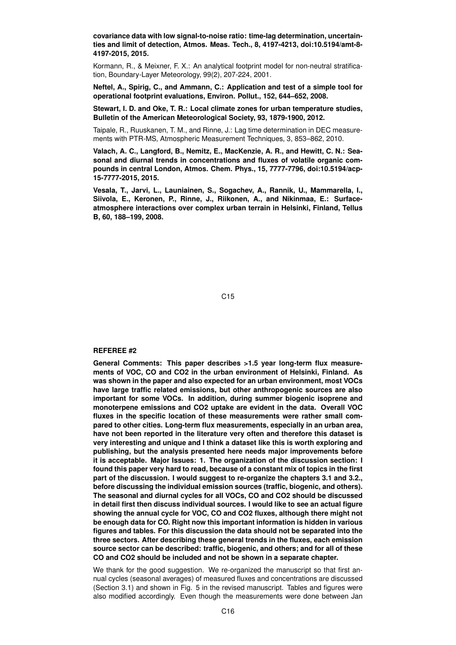**covariance data with low signal-to-noise ratio: time-lag determination, uncertainties and limit of detection, Atmos. Meas. Tech., 8, 4197-4213, doi:10.5194/amt-8- 4197-2015, 2015.**

Kormann, R., & Meixner, F. X.: An analytical footprint model for non-neutral stratification, Boundary-Layer Meteorology, 99(2), 207-224, 2001.

**Neftel, A., Spirig, C., and Ammann, C.: Application and test of a simple tool for operational footprint evaluations, Environ. Pollut., 152, 644–652, 2008.**

**Stewart, I. D. and Oke, T. R.: Local climate zones for urban temperature studies, Bulletin of the American Meteorological Society, 93, 1879-1900, 2012.**

Taipale, R., Ruuskanen, T. M., and Rinne, J.: Lag time determination in DEC measurements with PTR-MS, Atmospheric Measurement Techniques, 3, 853–862, 2010.

**Valach, A. C., Langford, B., Nemitz, E., MacKenzie, A. R., and Hewitt, C. N.: Seasonal and diurnal trends in concentrations and fluxes of volatile organic compounds in central London, Atmos. Chem. Phys., 15, 7777-7796, doi:10.5194/acp-15-7777-2015, 2015.**

**Vesala, T., Jarvi, L., Launiainen, S., Sogachev, A., Rannik, U., Mammarella, I., Siivola, E., Keronen, P., Rinne, J., Riikonen, A., and Nikinmaa, E.: Surfaceatmosphere interactions over complex urban terrain in Helsinki, Finland, Tellus B, 60, 188–199, 2008.**

C15

# **REFEREE #2**

**General Comments: This paper describes >1.5 year long-term flux measurements of VOC, CO and CO2 in the urban environment of Helsinki, Finland. As was shown in the paper and also expected for an urban environment, most VOCs have large traffic related emissions, but other anthropogenic sources are also important for some VOCs. In addition, during summer biogenic isoprene and monoterpene emissions and CO2 uptake are evident in the data. Overall VOC fluxes in the specific location of these measurements were rather small compared to other cities. Long-term flux measurements, especially in an urban area, have not been reported in the literature very often and therefore this dataset is very interesting and unique and I think a dataset like this is worth exploring and publishing, but the analysis presented here needs major improvements before it is acceptable. Major Issues: 1. The organization of the discussion section: I found this paper very hard to read, because of a constant mix of topics in the first part of the discussion. I would suggest to re-organize the chapters 3.1 and 3.2., before discussing the individual emission sources (traffic, biogenic, and others). The seasonal and diurnal cycles for all VOCs, CO and CO2 should be discussed in detail first then discuss individual sources. I would like to see an actual figure showing the annual cycle for VOC, CO and CO2 fluxes, although there might not be enough data for CO. Right now this important information is hidden in various figures and tables. For this discussion the data should not be separated into the three sectors. After describing these general trends in the fluxes, each emission source sector can be described: traffic, biogenic, and others; and for all of these CO and CO2 should be included and not be shown in a separate chapter.**

We thank for the good suggestion. We re-organized the manuscript so that first annual cycles (seasonal averages) of measured fluxes and concentrations are discussed (Section 3.1) and shown in Fig. 5 in the revised manuscript. Tables and figures were also modified accordingly. Even though the measurements were done between Jan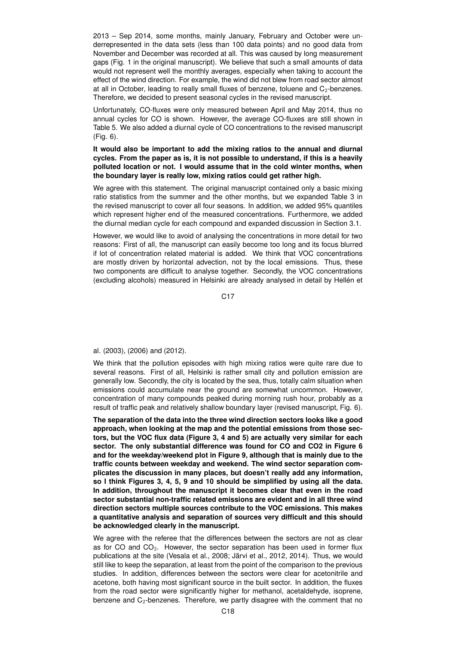2013 – Sep 2014, some months, mainly January, February and October were underrepresented in the data sets (less than 100 data points) and no good data from November and December was recorded at all. This was caused by long measurement gaps (Fig. 1 in the original manuscript). We believe that such a small amounts of data would not represent well the monthly averages, especially when taking to account the effect of the wind direction. For example, the wind did not blew from road sector almost at all in October, leading to really small fluxes of benzene, toluene and  $C<sub>2</sub>$ -benzenes. Therefore, we decided to present seasonal cycles in the revised manuscript.

Unfortunately, CO-fluxes were only measured between April and May 2014, thus no annual cycles for CO is shown. However, the average CO-fluxes are still shown in Table 5. We also added a diurnal cycle of CO concentrations to the revised manuscript (Fig. 6).

# **It would also be important to add the mixing ratios to the annual and diurnal cycles. From the paper as is, it is not possible to understand, if this is a heavily polluted location or not. I would assume that in the cold winter months, when the boundary layer is really low, mixing ratios could get rather high.**

We agree with this statement. The original manuscript contained only a basic mixing ratio statistics from the summer and the other months, but we expanded Table 3 in the revised manuscript to cover all four seasons. In addition, we added 95% quantiles which represent higher end of the measured concentrations. Furthermore, we added the diurnal median cycle for each compound and expanded discussion in Section 3.1.

However, we would like to avoid of analysing the concentrations in more detail for two reasons: First of all, the manuscript can easily become too long and its focus blurred if lot of concentration related material is added. We think that VOC concentrations are mostly driven by horizontal advection, not by the local emissions. Thus, these two components are difficult to analyse together. Secondly, the VOC concentrations (excluding alcohols) measured in Helsinki are already analysed in detail by Hellén et

C17

# al. (2003), (2006) and (2012).

We think that the pollution episodes with high mixing ratios were quite rare due to several reasons. First of all, Helsinki is rather small city and pollution emission are generally low. Secondly, the city is located by the sea, thus, totally calm situation when emissions could accumulate near the ground are somewhat uncommon. However, concentration of many compounds peaked during morning rush hour, probably as a result of traffic peak and relatively shallow boundary layer (revised manuscript, Fig. 6).

**The separation of the data into the three wind direction sectors looks like a good approach, when looking at the map and the potential emissions from those sectors, but the VOC flux data (Figure 3, 4 and 5) are actually very similar for each sector. The only substantial difference was found for CO and CO2 in Figure 6 and for the weekday/weekend plot in Figure 9, although that is mainly due to the traffic counts between weekday and weekend. The wind sector separation complicates the discussion in many places, but doesn't really add any information, so I think Figures 3, 4, 5, 9 and 10 should be simplified by using all the data. In addition, throughout the manuscript it becomes clear that even in the road sector substantial non-traffic related emissions are evident and in all three wind direction sectors multiple sources contribute to the VOC emissions. This makes a quantitative analysis and separation of sources very difficult and this should be acknowledged clearly in the manuscript.**

We agree with the referee that the differences between the sectors are not as clear as for CO and  $CO<sub>2</sub>$ . However, the sector separation has been used in former flux publications at the site (Vesala et al., 2008; Järvi et al., 2012, 2014). Thus, we would still like to keep the separation, at least from the point of the comparison to the previous studies. In addition, differences between the sectors were clear for acetonitrile and acetone, both having most significant source in the built sector. In addition, the fluxes from the road sector were significantly higher for methanol, acetaldehyde, isoprene, benzene and C2-benzenes. Therefore, we partly disagree with the comment that no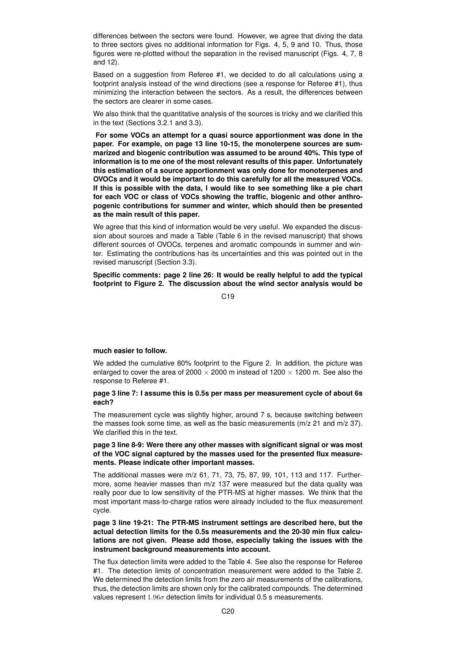differences between the sectors were found. However, we agree that diving the data to three sectors gives no additional information for Figs. 4, 5, 9 and 10. Thus, those figures were re-plotted without the separation in the revised manuscript (Figs. 4, 7, 8 and 12).

Based on a suggestion from Referee #1, we decided to do all calculations using a footprint analysis instead of the wind directions (see a response for Referee #1), thus minimizing the interaction between the sectors. As a result, the differences between the sectors are clearer in some cases.

We also think that the quantitative analysis of the sources is tricky and we clarified this in the text (Sections 3.2.1 and 3.3).

**For some VOCs an attempt for a quasi source apportionment was done in the paper. For example, on page 13 line 10-15, the monoterpene sources are summarized and biogenic contribution was assumed to be around 40%. This type of information is to me one of the most relevant results of this paper. Unfortunately this estimation of a source apportionment was only done for monoterpenes and OVOCs and it would be important to do this carefully for all the measured VOCs. If this is possible with the data, I would like to see something like a pie chart for each VOC or class of VOCs showing the traffic, biogenic and other anthropogenic contributions for summer and winter, which should then be presented as the main result of this paper.**

We agree that this kind of information would be very useful. We expanded the discussion about sources and made a Table (Table 6 in the revised manuscript) that shows different sources of OVOCs, terpenes and aromatic compounds in summer and winter. Estimating the contributions has its uncertainties and this was pointed out in the revised manuscript (Section 3.3).

**Specific comments: page 2 line 26: It would be really helpful to add the typical footprint to Figure 2. The discussion about the wind sector analysis would be**

C19

## **much easier to follow.**

We added the cumulative 80% footprint to the Figure 2. In addition, the picture was enlarged to cover the area of 2000  $\times$  2000 m instead of 1200  $\times$  1200 m. See also the response to Referee #1.

## **page 3 line 7: I assume this is 0.5s per mass per measurement cycle of about 6s each?**

The measurement cycle was slightly higher, around 7 s, because switching between the masses took some time, as well as the basic measurements ( $m/z$  21 and  $m/z$  37). We clarified this in the text.

## **page 3 line 8-9: Were there any other masses with significant signal or was most of the VOC signal captured by the masses used for the presented flux measurements. Please indicate other important masses.**

The additional masses were m/z 61, 71, 73, 75, 87, 99, 101, 113 and 117. Furthermore, some heavier masses than m/z 137 were measured but the data quality was really poor due to low sensitivity of the PTR-MS at higher masses. We think that the most important mass-to-charge ratios were already included to the flux measurement cycle.

**page 3 line 19-21: The PTR-MS instrument settings are described here, but the actual detection limits for the 0.5s measurements and the 20-30 min flux calculations are not given. Please add those, especially taking the issues with the instrument background measurements into account.**

The flux detection limits were added to the Table 4. See also the response for Referee #1. The detection limits of concentration measurement were added to the Table 2. We determined the detection limits from the zero air measurements of the calibrations, thus, the detection limits are shown only for the calibrated compounds. The determined values represent  $1.96\sigma$  detection limits for individual 0.5 s measurements.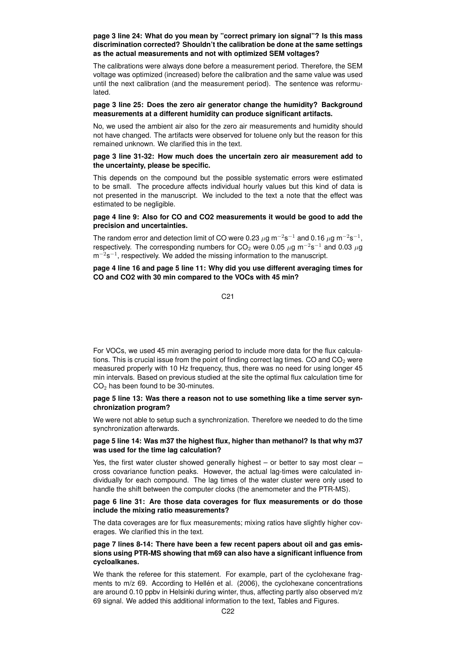## **page 3 line 24: What do you mean by "correct primary ion signal"? Is this mass discrimination corrected? Shouldn't the calibration be done at the same settings as the actual measurements and not with optimized SEM voltages?**

The calibrations were always done before a measurement period. Therefore, the SEM voltage was optimized (increased) before the calibration and the same value was used until the next calibration (and the measurement period). The sentence was reformulated.

## **page 3 line 25: Does the zero air generator change the humidity? Background measurements at a different humidity can produce significant artifacts.**

No, we used the ambient air also for the zero air measurements and humidity should not have changed. The artifacts were observed for toluene only but the reason for this remained unknown. We clarified this in the text.

## **page 3 line 31-32: How much does the uncertain zero air measurement add to the uncertainty, please be specific.**

This depends on the compound but the possible systematic errors were estimated to be small. The procedure affects individual hourly values but this kind of data is not presented in the manuscript. We included to the text a note that the effect was estimated to be negligible.

## **page 4 line 9: Also for CO and CO2 measurements it would be good to add the precision and uncertainties.**

The random error and detection limit of CO were 0.23  $\mu$ g m $^{-2}$ s $^{-1}$  and 0.16  $\mu$ g m $^{-2}$ s $^{-1},$ respectively. The corresponding numbers for CO<sub>2</sub> were 0.05  $\mu$ g m<sup>-2</sup>s<sup>-1</sup> and 0.03  $\mu$ g  $m^{-2}s^{-1}$ , respectively. We added the missing information to the manuscript.

# **page 4 line 16 and page 5 line 11: Why did you use different averaging times for CO and CO2 with 30 min compared to the VOCs with 45 min?**

## C21

For VOCs, we used 45 min averaging period to include more data for the flux calculations. This is crucial issue from the point of finding correct lag times. CO and  $CO<sub>2</sub>$  were measured properly with 10 Hz frequency, thus, there was no need for using longer 45 min intervals. Based on previous studied at the site the optimal flux calculation time for  $CO<sub>2</sub>$  has been found to be 30-minutes.

## **page 5 line 13: Was there a reason not to use something like a time server synchronization program?**

We were not able to setup such a synchronization. Therefore we needed to do the time synchronization afterwards.

# **page 5 line 14: Was m37 the highest flux, higher than methanol? Is that why m37 was used for the time lag calculation?**

Yes, the first water cluster showed generally highest – or better to say most clear – cross covariance function peaks. However, the actual lag-times were calculated individually for each compound. The lag times of the water cluster were only used to handle the shift between the computer clocks (the anemometer and the PTR-MS).

## **page 6 line 31: Are those data coverages for flux measurements or do those include the mixing ratio measurements?**

The data coverages are for flux measurements; mixing ratios have slightly higher coverages. We clarified this in the text.

# **page 7 lines 8-14: There have been a few recent papers about oil and gas emissions using PTR-MS showing that m69 can also have a significant influence from cycloalkanes.**

We thank the referee for this statement. For example, part of the cyclohexane fragments to m/z 69. According to Hellén et al. (2006), the cyclohexane concentrations are around 0.10 ppbv in Helsinki during winter, thus, affecting partly also observed m/z 69 signal. We added this additional information to the text, Tables and Figures.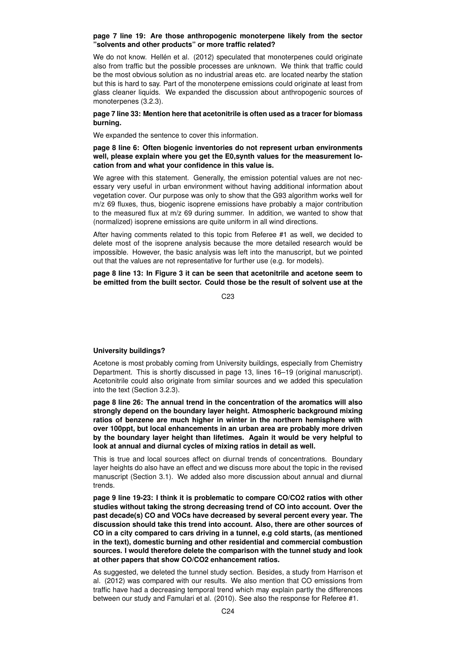#### **page 7 line 19: Are those anthropogenic monoterpene likely from the sector "solvents and other products" or more traffic related?**

We do not know. Hellén et al. (2012) speculated that monoterpenes could originate also from traffic but the possible processes are unknown. We think that traffic could be the most obvious solution as no industrial areas etc. are located nearby the station but this is hard to say. Part of the monoterpene emissions could originate at least from glass cleaner liquids. We expanded the discussion about anthropogenic sources of monoterpenes (3.2.3).

# **page 7 line 33: Mention here that acetonitrile is often used as a tracer for biomass burning.**

We expanded the sentence to cover this information.

**page 8 line 6: Often biogenic inventories do not represent urban environments well, please explain where you get the E0,synth values for the measurement location from and what your confidence in this value is.**

We agree with this statement. Generally, the emission potential values are not necessary very useful in urban environment without having additional information about vegetation cover. Our purpose was only to show that the G93 algorithm works well for m/z 69 fluxes, thus, biogenic isoprene emissions have probably a major contribution to the measured flux at m/z 69 during summer. In addition, we wanted to show that (normalized) isoprene emissions are quite uniform in all wind directions.

After having comments related to this topic from Referee #1 as well, we decided to delete most of the isoprene analysis because the more detailed research would be impossible. However, the basic analysis was left into the manuscript, but we pointed out that the values are not representative for further use (e.g. for models).

**page 8 line 13: In Figure 3 it can be seen that acetonitrile and acetone seem to be emitted from the built sector. Could those be the result of solvent use at the**

C<sub>23</sub>

## **University buildings?**

Acetone is most probably coming from University buildings, especially from Chemistry Department. This is shortly discussed in page 13, lines 16–19 (original manuscript). Acetonitrile could also originate from similar sources and we added this speculation into the text (Section 3.2.3).

**page 8 line 26: The annual trend in the concentration of the aromatics will also strongly depend on the boundary layer height. Atmospheric background mixing ratios of benzene are much higher in winter in the northern hemisphere with over 100ppt, but local enhancements in an urban area are probably more driven by the boundary layer height than lifetimes. Again it would be very helpful to look at annual and diurnal cycles of mixing ratios in detail as well.**

This is true and local sources affect on diurnal trends of concentrations. Boundary layer heights do also have an effect and we discuss more about the topic in the revised manuscript (Section 3.1). We added also more discussion about annual and diurnal trends.

**page 9 line 19-23: I think it is problematic to compare CO/CO2 ratios with other studies without taking the strong decreasing trend of CO into account. Over the past decade(s) CO and VOCs have decreased by several percent every year. The discussion should take this trend into account. Also, there are other sources of CO in a city compared to cars driving in a tunnel, e.g cold starts, (as mentioned in the text), domestic burning and other residential and commercial combustion sources. I would therefore delete the comparison with the tunnel study and look at other papers that show CO/CO2 enhancement ratios.**

As suggested, we deleted the tunnel study section. Besides, a study from Harrison et al. (2012) was compared with our results. We also mention that CO emissions from traffic have had a decreasing temporal trend which may explain partly the differences between our study and Famulari et al. (2010). See also the response for Referee #1.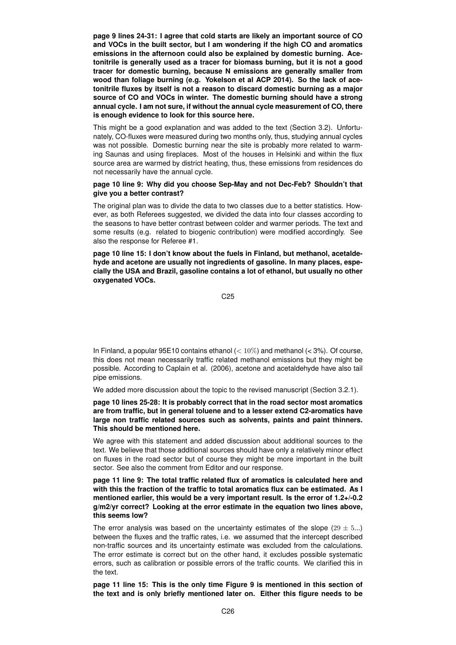**page 9 lines 24-31: I agree that cold starts are likely an important source of CO and VOCs in the built sector, but I am wondering if the high CO and aromatics emissions in the afternoon could also be explained by domestic burning. Acetonitrile is generally used as a tracer for biomass burning, but it is not a good tracer for domestic burning, because N emissions are generally smaller from wood than foliage burning (e.g. Yokelson et al ACP 2014). So the lack of acetonitrile fluxes by itself is not a reason to discard domestic burning as a major source of CO and VOCs in winter. The domestic burning should have a strong annual cycle. I am not sure, if without the annual cycle measurement of CO, there is enough evidence to look for this source here.**

This might be a good explanation and was added to the text (Section 3.2). Unfortunately, CO-fluxes were measured during two months only, thus, studying annual cycles was not possible. Domestic burning near the site is probably more related to warming Saunas and using fireplaces. Most of the houses in Helsinki and within the flux source area are warmed by district heating, thus, these emissions from residences do not necessarily have the annual cycle.

## **page 10 line 9: Why did you choose Sep-May and not Dec-Feb? Shouldn't that give you a better contrast?**

The original plan was to divide the data to two classes due to a better statistics. However, as both Referees suggested, we divided the data into four classes according to the seasons to have better contrast between colder and warmer periods. The text and some results (e.g. related to biogenic contribution) were modified accordingly. See also the response for Referee #1.

**page 10 line 15: I don't know about the fuels in Finland, but methanol, acetaldehyde and acetone are usually not ingredients of gasoline. In many places, especially the USA and Brazil, gasoline contains a lot of ethanol, but usually no other oxygenated VOCs.**

C25

In Finland, a popular 95E10 contains ethanol  $\left( < 10\% \right)$  and methanol  $\left( < 3\% \right)$ . Of course, this does not mean necessarily traffic related methanol emissions but they might be possible. According to Caplain et al. (2006), acetone and acetaldehyde have also tail pipe emissions.

We added more discussion about the topic to the revised manuscript (Section 3.2.1).

**page 10 lines 25-28: It is probably correct that in the road sector most aromatics are from traffic, but in general toluene and to a lesser extend C2-aromatics have large non traffic related sources such as solvents, paints and paint thinners. This should be mentioned here.**

We agree with this statement and added discussion about additional sources to the text. We believe that those additional sources should have only a relatively minor effect on fluxes in the road sector but of course they might be more important in the built sector. See also the comment from Editor and our response.

**page 11 line 9: The total traffic related flux of aromatics is calculated here and with this the fraction of the traffic to total aromatics flux can be estimated. As I mentioned earlier, this would be a very important result. Is the error of 1.2+/-0.2 g/m2/yr correct? Looking at the error estimate in the equation two lines above, this seems low?**

The error analysis was based on the uncertainty estimates of the slope  $(29 \pm 5...)$ between the fluxes and the traffic rates, i.e. we assumed that the intercept described non-traffic sources and its uncertainty estimate was excluded from the calculations. The error estimate is correct but on the other hand, it excludes possible systematic errors, such as calibration or possible errors of the traffic counts. We clarified this in the text.

**page 11 line 15: This is the only time Figure 9 is mentioned in this section of the text and is only briefly mentioned later on. Either this figure needs to be**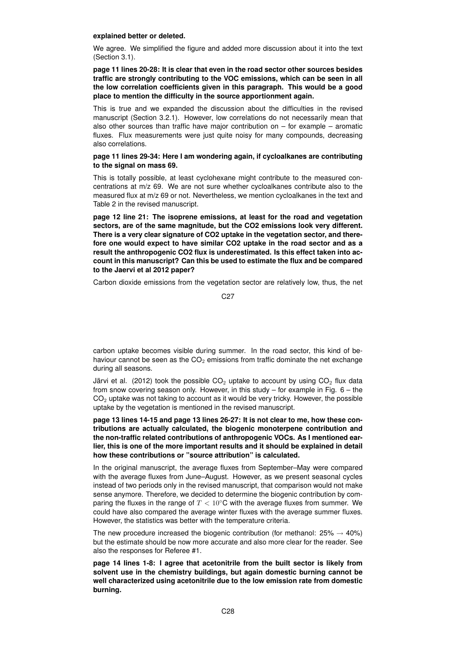#### **explained better or deleted.**

We agree. We simplified the figure and added more discussion about it into the text (Section 3.1).

# **page 11 lines 20-28: It is clear that even in the road sector other sources besides traffic are strongly contributing to the VOC emissions, which can be seen in all the low correlation coefficients given in this paragraph. This would be a good place to mention the difficulty in the source apportionment again.**

This is true and we expanded the discussion about the difficulties in the revised manuscript (Section 3.2.1). However, low correlations do not necessarily mean that also other sources than traffic have major contribution on  $-$  for example  $-$  aromatic fluxes. Flux measurements were just quite noisy for many compounds, decreasing also correlations.

## **page 11 lines 29-34: Here I am wondering again, if cycloalkanes are contributing to the signal on mass 69.**

This is totally possible, at least cyclohexane might contribute to the measured concentrations at m/z 69. We are not sure whether cycloalkanes contribute also to the measured flux at m/z 69 or not. Nevertheless, we mention cycloalkanes in the text and Table 2 in the revised manuscript.

**page 12 line 21: The isoprene emissions, at least for the road and vegetation sectors, are of the same magnitude, but the CO2 emissions look very different. There is a very clear signature of CO2 uptake in the vegetation sector, and therefore one would expect to have similar CO2 uptake in the road sector and as a result the anthropogenic CO2 flux is underestimated. Is this effect taken into account in this manuscript? Can this be used to estimate the flux and be compared to the Jaervi et al 2012 paper?**

Carbon dioxide emissions from the vegetation sector are relatively low, thus, the net

$$
\mathsf{C27}
$$

carbon uptake becomes visible during summer. In the road sector, this kind of behaviour cannot be seen as the  $CO<sub>2</sub>$  emissions from traffic dominate the net exchange during all seasons.

Järvi et al. (2012) took the possible  $CO<sub>2</sub>$  uptake to account by using  $CO<sub>2</sub>$  flux data from snow covering season only. However, in this study – for example in Fig. 6 – the  $CO<sub>2</sub>$  uptake was not taking to account as it would be very tricky. However, the possible uptake by the vegetation is mentioned in the revised manuscript.

**page 13 lines 14-15 and page 13 lines 26-27: It is not clear to me, how these contributions are actually calculated, the biogenic monoterpene contribution and the non-traffic related contributions of anthropogenic VOCs. As I mentioned earlier, this is one of the more important results and it should be explained in detail how these contributions or "source attribution" is calculated.**

In the original manuscript, the average fluxes from September–May were compared with the average fluxes from June–August. However, as we present seasonal cycles instead of two periods only in the revised manuscript, that comparison would not make sense anymore. Therefore, we decided to determine the biogenic contribution by comparing the fluxes in the range of  $T < 10^{\circ}$ C with the average fluxes from summer. We could have also compared the average winter fluxes with the average summer fluxes. However, the statistics was better with the temperature criteria.

The new procedure increased the biogenic contribution (for methanol:  $25\% \rightarrow 40\%$ ) but the estimate should be now more accurate and also more clear for the reader. See also the responses for Referee #1.

**page 14 lines 1-8: I agree that acetonitrile from the built sector is likely from solvent use in the chemistry buildings, but again domestic burning cannot be well characterized using acetonitrile due to the low emission rate from domestic burning.**